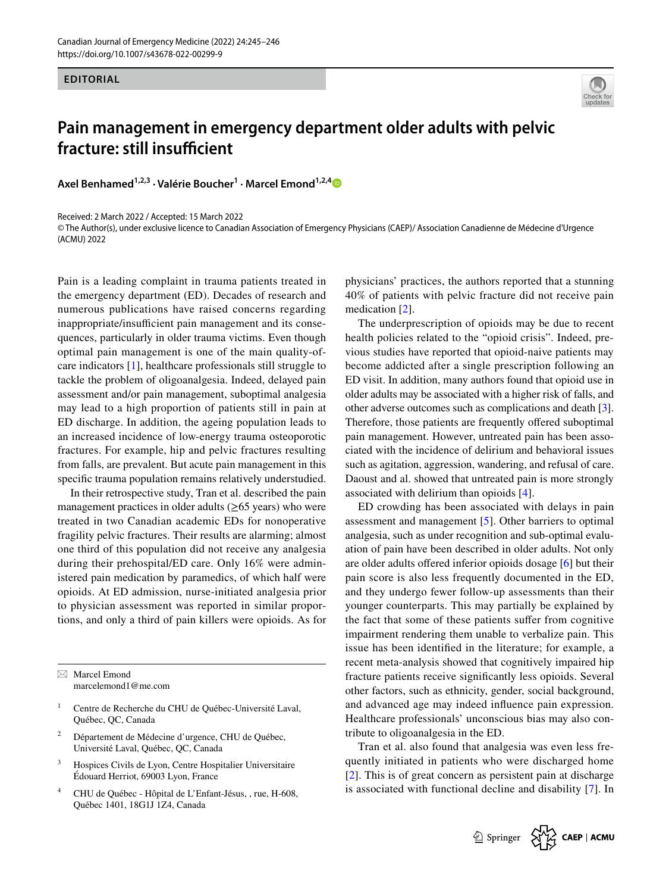

## **Pain management in emergency department older adults with pelvic fracture: still insufficient**

**Axel Benhamed1,2,3 · Valérie Boucher1 · Marcel Emond1,2,[4](http://orcid.org/0000-0001-7158-8110)**

Received: 2 March 2022 / Accepted: 15 March 2022

© The Author(s), under exclusive licence to Canadian Association of Emergency Physicians (CAEP)/ Association Canadienne de Médecine d'Urgence (ACMU) 2022

Pain is a leading complaint in trauma patients treated in the emergency department (ED). Decades of research and numerous publications have raised concerns regarding inappropriate/insufficient pain management and its consequences, particularly in older trauma victims. Even though optimal pain management is one of the main quality-ofcare indicators [[1\]](#page-1-0), healthcare professionals still struggle to tackle the problem of oligoanalgesia. Indeed, delayed pain assessment and/or pain management, suboptimal analgesia may lead to a high proportion of patients still in pain at ED discharge. In addition, the ageing population leads to an increased incidence of low-energy trauma osteoporotic fractures. For example, hip and pelvic fractures resulting from falls, are prevalent. But acute pain management in this specifc trauma population remains relatively understudied.

In their retrospective study, Tran et al. described the pain management practices in older adults  $(\geq 65$  years) who were treated in two Canadian academic EDs for nonoperative fragility pelvic fractures. Their results are alarming; almost one third of this population did not receive any analgesia during their prehospital/ED care. Only 16% were administered pain medication by paramedics, of which half were opioids. At ED admission, nurse-initiated analgesia prior to physician assessment was reported in similar proportions, and only a third of pain killers were opioids. As for

 $\boxtimes$  Marcel Emond marcelemond1@me.com

- Centre de Recherche du CHU de Québec-Université Laval, Québec, QC, Canada
- <sup>2</sup> Département de Médecine d'urgence, CHU de Québec, Université Laval, Québec, QC, Canada
- <sup>3</sup> Hospices Civils de Lyon, Centre Hospitalier Universitaire Édouard Herriot, 69003 Lyon, France
- <sup>4</sup> CHU de Québec Hôpital de L'Enfant-Jésus, , rue, H-608, Québec 1401, 18G1J 1Z4, Canada

physicians' practices, the authors reported that a stunning 40% of patients with pelvic fracture did not receive pain medication [[2\]](#page-1-1).

The underprescription of opioids may be due to recent health policies related to the "opioid crisis". Indeed, previous studies have reported that opioid-naive patients may become addicted after a single prescription following an ED visit. In addition, many authors found that opioid use in older adults may be associated with a higher risk of falls, and other adverse outcomes such as complications and death [\[3](#page-1-2)]. Therefore, those patients are frequently offered suboptimal pain management. However, untreated pain has been associated with the incidence of delirium and behavioral issues such as agitation, aggression, wandering, and refusal of care. Daoust and al. showed that untreated pain is more strongly associated with delirium than opioids [\[4](#page-1-3)].

**EDITORAL ESTING INTERFERIT: CONSULTER UNIT CONSULTER CONSULTER UNIT CONSULTER UNIT CONSULTER UNIT CONSULTER UNIT CONSULTER UNIT CONSULTER UNIT CONSULTER UNIT CONSULTER UNIT CONSULTER UNIT CONSULTER UNIT CONSULTER UNIT** ED crowding has been associated with delays in pain assessment and management [[5\]](#page-1-4). Other barriers to optimal analgesia, such as under recognition and sub-optimal evaluation of pain have been described in older adults. Not only are older adults ofered inferior opioids dosage [[6\]](#page-1-5) but their pain score is also less frequently documented in the ED, and they undergo fewer follow-up assessments than their younger counterparts. This may partially be explained by the fact that some of these patients sufer from cognitive impairment rendering them unable to verbalize pain. This issue has been identifed in the literature; for example, a recent meta-analysis showed that cognitively impaired hip fracture patients receive signifcantly less opioids. Several other factors, such as ethnicity, gender, social background, and advanced age may indeed infuence pain expression. Healthcare professionals' unconscious bias may also contribute to oligoanalgesia in the ED.

Tran et al. also found that analgesia was even less frequently initiated in patients who were discharged home [[2\]](#page-1-1). This is of great concern as persistent pain at discharge is associated with functional decline and disability [[7\]](#page-1-6). In